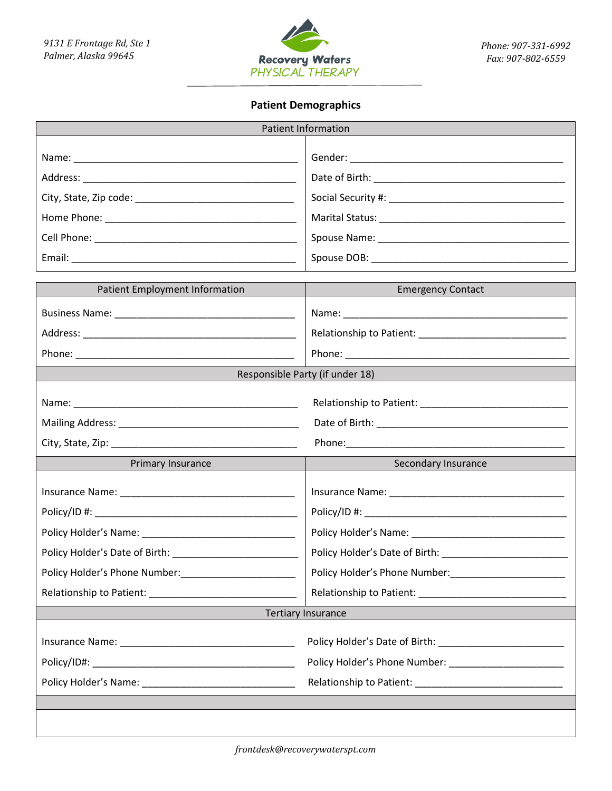

# **Patient Demographics**

| <b>Patient Information</b>     |                                                                                         |  |  |
|--------------------------------|-----------------------------------------------------------------------------------------|--|--|
|                                |                                                                                         |  |  |
|                                |                                                                                         |  |  |
|                                |                                                                                         |  |  |
|                                |                                                                                         |  |  |
|                                |                                                                                         |  |  |
|                                |                                                                                         |  |  |
|                                |                                                                                         |  |  |
| Patient Employment Information | <b>Emergency Contact</b>                                                                |  |  |
|                                |                                                                                         |  |  |
|                                |                                                                                         |  |  |
|                                |                                                                                         |  |  |
|                                | Responsible Party (if under 18)                                                         |  |  |
|                                |                                                                                         |  |  |
|                                |                                                                                         |  |  |
|                                |                                                                                         |  |  |
|                                |                                                                                         |  |  |
| Primary Insurance              | Secondary Insurance                                                                     |  |  |
|                                |                                                                                         |  |  |
|                                |                                                                                         |  |  |
|                                |                                                                                         |  |  |
|                                |                                                                                         |  |  |
|                                | Policy Holder's Phone Number: Name of The Contract of The Contract of The Policy Holder |  |  |
|                                |                                                                                         |  |  |
|                                | <b>Tertiary Insurance</b>                                                               |  |  |
|                                |                                                                                         |  |  |
|                                |                                                                                         |  |  |
|                                |                                                                                         |  |  |
|                                |                                                                                         |  |  |
|                                |                                                                                         |  |  |
|                                |                                                                                         |  |  |